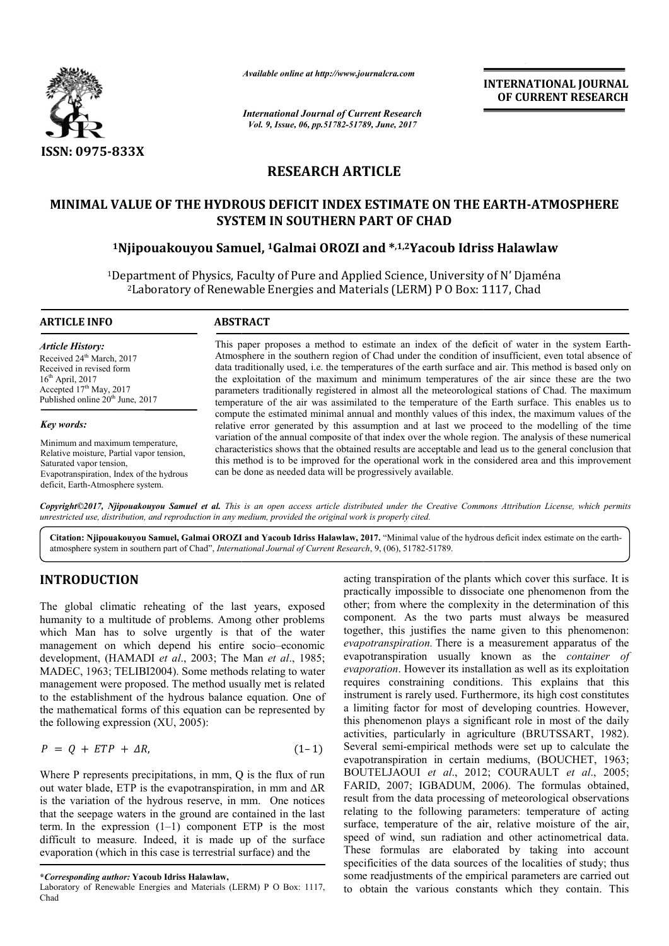

*Available online at http://www.journalcra.com*

*International Journal of Current Research Vol. 9, Issue, 06, pp.51782-51789, June, 2017*

**INTERNATIONAL JOURNAL OF CURRENT RESEARCH** 

# **RESEARCH ARTICLE**

## **MINIMAL VALUE OF THE HYDROUS DEFICIT INDEX ESTIMATE ON THE EARTH MINIMAL VALUE INDEX ESTIMATE EARTH-ATMOSPHERE SYSTEM IN SOUTHERN PART OF CHAD**

### **1Njipouakouyou Samuel Samuel, 1Galmai OROZI and \*,1,2Yacoub Idriss Halawlaw Yacoub**

<sup>1</sup>Department of Physics, Faculty of Pure and Applied Science, University of N' Djaména partment of Physics, Faculty of Pure and Applied Science, University of N' Djam<br><sup>2</sup>Laboratory of Renewable Energies and Materials (LERM) P 0 Box: 1117, Chad

## **ARTICLE INFO ABSTRACT** This paper proposes a method to estimate an index of the deficit of water in the system Earth-*Article History:*

Received 24<sup>th</sup> March, 2017 Received in revised form  $16<sup>th</sup>$  April, 2017  $\text{Accepted } 17^{\text{th}}$  May, 2017 Published online 20<sup>th</sup> June, 2017

*Key words:*

Minimum and maximum temperature, Relative moisture, Partial vapor tension, Saturated vapor tension, Evapotranspiration, Index of the hydrous deficit, Earth-Atmosphere system.

Atmosphere in the southern region of Chad under the condition of insufficient, even total absence of data traditionally used, i.e. the temperatures of the earth surface and air. This method is based only on the exploitation of the maximum and minimum temperatures of the air since these are the two parameters traditionally registered in almost all the meteorological stations of Chad. The maximum temperature of the air was assimilated to the temperature of the Earth surface. This enables us t compute the estimated minimal annual and monthly values of this index, the maximum values of the relative error generated by this assumption and at last we proceed to the modelling of the time variation of the annual composite of that index over the whole region. The analysis of these numerical characteristics shows that the obtained results are acceptable and lead us to the general conclusion that this method is to be improved for the operational work in the considered area and this improvement can be do done as needed data will be progressively available. Atmosphere in the southern region of Chad under the condition of insufficient, even total absence of data traditionally used, i.e. the temperatures of the earth surface and air. This method is based only on the exploitatio compute the estimated minimal annual and monthly values of this index, the maximum values of the relative error generated by this assumption and at last we proceed to the modelling of the time variation of the annual compo

*Copyright©2017, Njipouakouyou Samuel et al. This is an open access article distributed under the Creative Commons Att is open article Attribution License, which permits unrestricted use, distribution, and reproduction in any medium, provided the original work is properly cited.*

Citation: Njipouakouyou Samuel, Galmai OROZI and Yacoub Idriss Halawlaw, 2017. "Minimal value of the hydrous deficit index estimate on the earthatmosphere system in southern part of Chad", *International Journal of Current Research* , 9, (06), 51782-51789.

# **INTRODUCTION**

The global climatic reheating of the last years, exposed humanity to a multitude of problems. Among other problems which Man has to solve urgently is that of the water management on which depend his entire socio–economic development, (HAMADI *et al*., 2003; The Man *et al*., 1985; MADEC, 1963; TELIBI2004). Some methods relating to water management were proposed. The method usually met is related to the establishment of the hydrous balance equation. One of the mathematical forms of this equation can be represented by the following expression (XU, 2005):

$$
P = Q + ETP + \Delta R, \qquad (1-1)
$$

Where P represents precipitations, in mm, Q is the flux of run out water blade, ETP is the evapotranspiration, in mm and  $\Delta R$ is the variation of the hydrous reserve, in mm. One notices that the seepage waters in the ground are contained in the last term. In the expression  $(1-1)$  component ETP is the most difficult to measure. Indeed, it is made up of the surface evaporation (which in this case is terrestrial surface) and the

acting transpiration of the plants which cover this surface. It is<br>
protactedly impossible to dissociate one phenomenon from the<br>
order, from where the complexity in the determination of this<br>
problems. Among other proble practically impossible to dissociate one phenomenon from the other; from where the complexity in the determination of this component. As the two parts must always be measured together, this justifies the name given to this phenomenon: *evapotranspiration.* There is a measurement apparatus of the evapotranspiration usually known as the *container of*  evaporation. However its installation as well as its exploitation requires constraining conditions. This explains that this instrument is rarely used. Furthermore, its high cost constitutes a limiting factor for most of developing countries. However, this phenomenon plays a significant role in most of the d activities, particularly in agriculture (BRUTSSART, 1982). Several semi-empirical methods were set up to calculate the Several semi-empirical methods were set up to calculate the evapotranspiration in certain mediums, (BOUCHET, 1963; BOUTELJAOUI *et al*., 2012; C COURAULT *et al*., 2005; FARID, 2007; IGBADUM, 2006). The formulas obtained, result from the data processing of meteorological observations relating to the following parameters: temperature of acting surface, temperature of the air, relative moisture of the air, speed of wind, sun radiation and other actinometrical data. These formulas are elaborated by taking into account specificities of the data sources of the localities of study; thus some readjustments of the empirical parameters are carried out to obtain the various constants which they contain. This transpiration of the plants which cover this surface ally impossible to dissociate one phenomenon from where the complexity in the determination nent. As the two parts must always be meer, this justifies the name given to onditions. This explains that this<br>Furthermore, its high cost constitutes<br>t of developing countries. However,<br>significant role in most of the daily following parameters: temperature of acting<br>ture of the air, relative moisture of the air,<br>sun radiation and other actinometrical data. **EXERVATIONAL JOURNAL FROMAL JOURNAL FORMAL FORMAL JOURNAL CONFORMAL CONFORMAL TO BE CURRENT RESEARCH CONFORMAL CONFORMAL CONFORMAL CONFORMAL CONFORMAL CONFORMAL TO CHECONFORMAL CONFORMAL CONFORMAL TO CHECONFORMAL CONFORM** 

**<sup>\*</sup>***Corresponding author:* **Yacoub Idriss Halawlaw,** 

Laboratory of Renewable Energies and Materials (LERM) P O Box: 1117, Chad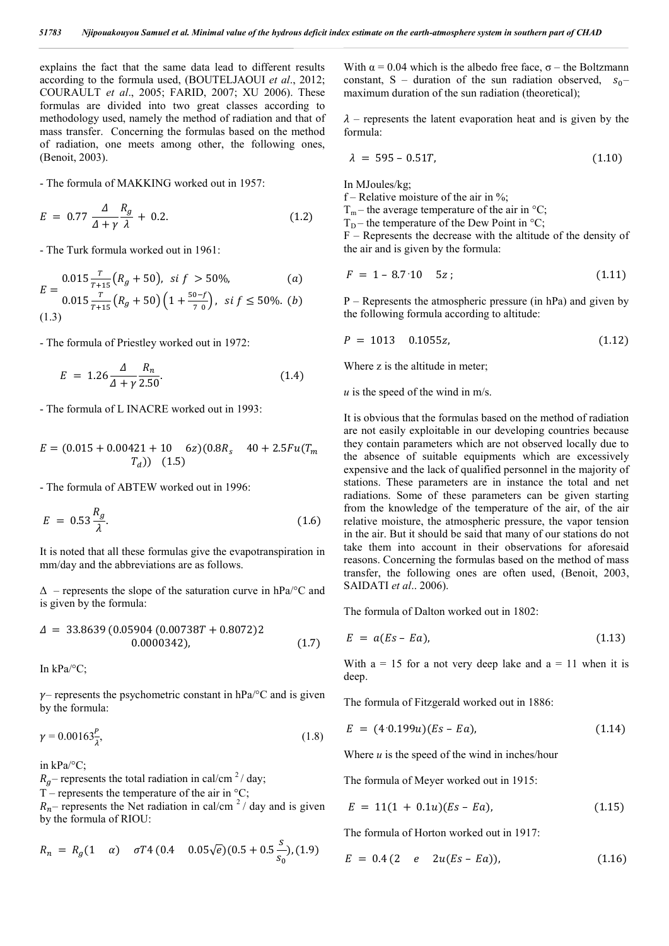explains the fact that the same data lead to different results according to the formula used, (BOUTELJAOUI *et al*., 2012; COURAULT *et al*., 2005; FARID, 2007; XU 2006). These formulas are divided into two great classes according to methodology used, namely the method of radiation and that of mass transfer. Concerning the formulas based on the method of radiation, one meets among other, the following ones, (Benoit, 2003).

- The formula of MAKKING worked out in 1957:

$$
E = 0.77 \frac{\Delta}{\Delta + \gamma} \frac{R_g}{\lambda} + 0.2. \tag{1.2}
$$

- The Turk formula worked out in 1961:

$$
E = \frac{0.015 \frac{T}{T+15} (R_g + 50), \text{ si } f > 50\%,}{T} \tag{a}
$$

$$
\sum_{t=0}^{L-1} 0.015 \frac{T}{T+15} \left( R_g + 50 \right) \left( 1 + \frac{50 - f}{70} \right), \text{ si } f \le 50\%.
$$
 (b)

- The formula of Priestley worked out in 1972:

$$
E = 1.26 \frac{\Delta}{\Delta + \gamma} \frac{R_n}{2.50}.
$$
 (1.4)

- The formula of L INACRE worked out in 1993:

$$
E = (0.015 + 0.00421 + 10 \quad 6z)(0.8R_s \quad 40 + 2.5Fu(T_m
$$
  

$$
T_d)) \quad (1.5)
$$

- The formula of ABTEW worked out in 1996:

$$
E = 0.53 \frac{R_g}{\lambda}.\tag{1.6}
$$

It is noted that all these formulas give the evapotranspiration in mm/day and the abbreviations are as follows.

 $\Delta$  – represents the slope of the saturation curve in hPa/ $\degree$ C and is given by the formula:

$$
\Delta = 33.8639 (0.05904 (0.00738T + 0.8072)2 0.0000342), \qquad (1.7)
$$

In kPa/°C;

 $\nu$ – represents the psychometric constant in hPa/ $\rm ^{\circ}C$  and is given by the formula:

$$
\gamma = 0.00163 \frac{P}{\lambda},\tag{1.8}
$$

in kPa/°C;

 $R<sub>g</sub>$  – represents the total radiation in cal/cm<sup>2</sup>/day;

T – represents the temperature of the air in  $\mathrm{^{\circ}C};$ 

 $R_n$ – represents the Net radiation in cal/cm<sup>2</sup>/ day and is given by the formula of RIOU:

$$
R_n = R_g(1 \quad \alpha) \quad \sigma T4 \ (0.4 \quad 0.05\sqrt{e})(0.5 + 0.5\frac{s}{s_0}), (1.9)
$$

With  $\alpha$  = 0.04 which is the albedo free face,  $\sigma$  – the Boltzmann constant, S – duration of the sun radiation observed,  $s_0$ – maximum duration of the sun radiation (theoretical);

 $\lambda$  – represents the latent evaporation heat and is given by the formula:

$$
\lambda = 595 - 0.51T, \tag{1.10}
$$

In MJoules/kg;

f – Relative moisture of the air in  $\%$ ;

 $T_m$  – the average temperature of the air in °C;

 $T_D$  – the temperature of the Dew Point in °C;

F – Represents the decrease with the altitude of the density of the air and is given by the formula:

$$
F = 1 - 8.7 \cdot 10 \quad 5z \tag{1.11}
$$

P – Represents the atmospheric pressure (in hPa) and given by the following formula according to altitude:

$$
P = 1013 \quad 0.1055z, \tag{1.12}
$$

Where z is the altitude in meter;

*u* is the speed of the wind in m/s.

It is obvious that the formulas based on the method of radiation are not easily exploitable in our developing countries because they contain parameters which are not observed locally due to the absence of suitable equipments which are excessively expensive and the lack of qualified personnel in the majority of stations. These parameters are in instance the total and net radiations. Some of these parameters can be given starting from the knowledge of the temperature of the air, of the air relative moisture, the atmospheric pressure, the vapor tension in the air. But it should be said that many of our stations do not take them into account in their observations for aforesaid reasons. Concerning the formulas based on the method of mass transfer, the following ones are often used, (Benoit, 2003, SAIDATI *et al*.. 2006).

The formula of Dalton worked out in 1802:

$$
E = a(Es - Ea), \tag{1.13}
$$

With  $a = 15$  for a not very deep lake and  $a = 11$  when it is deep.

The formula of Fitzgerald worked out in 1886:

$$
E = (4.0.199u)(Es - Ea), \tag{1.14}
$$

Where *u* is the speed of the wind in inches/hour

The formula of Meyer worked out in 1915:

$$
E = 11(1 + 0.1u)(Es - Ea), \qquad (1.15)
$$

The formula of Horton worked out in 1917:

$$
E = 0.4 (2 \quad e \quad 2u(Es - Ea)), \tag{1.16}
$$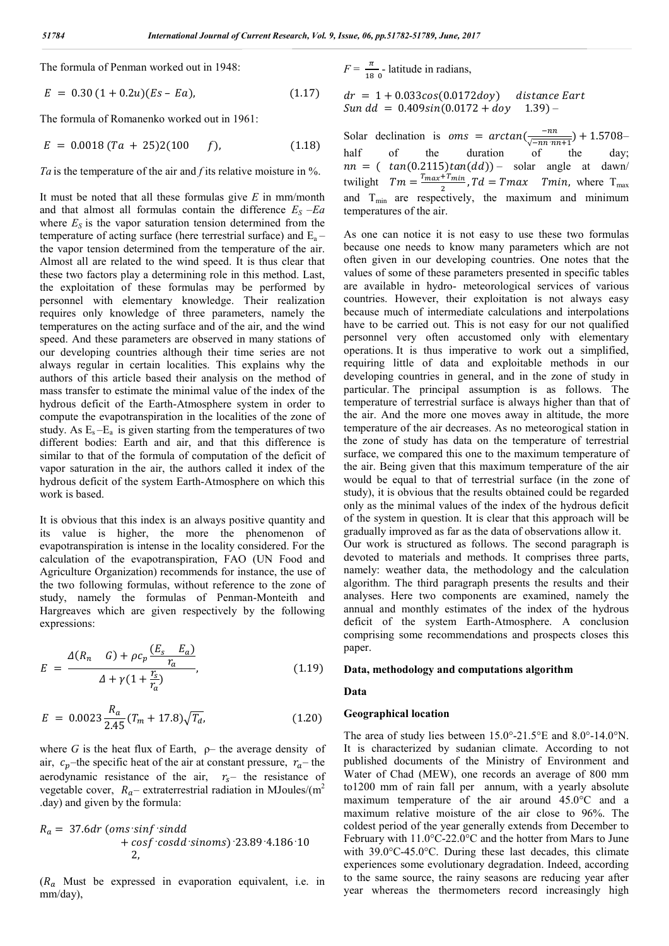The formula of Penman worked out in 1948:

$$
E = 0.30 (1 + 0.2u)(Es - Ea), \qquad (1.17)
$$

The formula of Romanenko worked out in 1961:

$$
E = 0.0018 (Ta + 25)2(100 f), \qquad (1.18)
$$

*Ta* is the temperature of the air and *f* its relative moisture in %.

It must be noted that all these formulas give *E* in mm/month and that almost all formulas contain the difference  $E<sub>S</sub> -Ea$ where  $E<sub>S</sub>$  is the vapor saturation tension determined from the temperature of acting surface (here terrestrial surface) and  $E_a$  – the vapor tension determined from the temperature of the air. Almost all are related to the wind speed. It is thus clear that these two factors play a determining role in this method. Last, the exploitation of these formulas may be performed by personnel with elementary knowledge. Their realization requires only knowledge of three parameters, namely the temperatures on the acting surface and of the air, and the wind speed. And these parameters are observed in many stations of our developing countries although their time series are not always regular in certain localities. This explains why the authors of this article based their analysis on the method of mass transfer to estimate the minimal value of the index of the hydrous deficit of the Earth-Atmosphere system in order to compute the evapotranspiration in the localities of the zone of study. As  $E_s - E_a$  is given starting from the temperatures of two different bodies: Earth and air, and that this difference is similar to that of the formula of computation of the deficit of vapor saturation in the air, the authors called it index of the hydrous deficit of the system Earth-Atmosphere on which this work is based.

It is obvious that this index is an always positive quantity and its value is higher, the more the phenomenon of evapotranspiration is intense in the locality considered. For the calculation of the evapotranspiration, FAO (UN Food and Agriculture Organization) recommends for instance, the use of the two following formulas, without reference to the zone of study, namely the formulas of Penman-Monteith and Hargreaves which are given respectively by the following expressions:

$$
E = \frac{\Delta(R_n - G) + \rho c_p \frac{(E_s - E_a)}{r_a}}{\Delta + \gamma (1 + \frac{r_s}{r_a})},
$$
(1.19)

$$
E = 0.0023 \frac{R_a}{2.45} (T_m + 17.8) \sqrt{T_a}, \qquad (1.20)
$$

where  $G$  is the heat flux of Earth,  $\rho$ – the average density of air,  $c_p$ -the specific heat of the air at constant pressure,  $r_a$ -the aerodynamic resistance of the air,  $r_s$  the resistance of vegetable cover,  $R_a$ – extraterrestrial radiation in MJoules/(m<sup>2</sup> .day) and given by the formula:

$$
R_a = 37.6dr \text{ (oms-sinf-sindd}+ cosf \text{ cos} dd \text{ sinoms}) 23.89.4.186.10
$$
  
2,

 $(R_a$  Must be expressed in evaporation equivalent, i.e. in mm/day),

 $F = \frac{\pi}{180}$ - latitude in radians,

 $dr = 1 + 0.033cos(0.0172day)$  distance Eart  $Sun dd = 0.409sin(0.0172 + doy 1.39) -$ 

Solar declination is  $oms = arctan(\frac{-nn}{\sqrt{-nnnn+1}}) + 1.5708$ – half of the duration of the day;  $nn = ( tan(0.2115)tan(dd)) - solar angle at dawn/$ twilight  $Tm = \frac{T_{max} + T_{min}}{2}$ ,  $Td = Tmax$   $Tmin$ , where  $T_{max}$ and  $T_{min}$  are respectively, the maximum and minimum temperatures of the air.

As one can notice it is not easy to use these two formulas because one needs to know many parameters which are not often given in our developing countries. One notes that the values of some of these parameters presented in specific tables are available in hydro- meteorological services of various countries. However, their exploitation is not always easy because much of intermediate calculations and interpolations have to be carried out. This is not easy for our not qualified personnel very often accustomed only with elementary operations. It is thus imperative to work out a simplified, requiring little of data and exploitable methods in our developing countries in general, and in the zone of study in particular. The principal assumption is as follows. The temperature of terrestrial surface is always higher than that of the air. And the more one moves away in altitude, the more temperature of the air decreases. As no meteorogical station in the zone of study has data on the temperature of terrestrial surface, we compared this one to the maximum temperature of the air. Being given that this maximum temperature of the air would be equal to that of terrestrial surface (in the zone of study), it is obvious that the results obtained could be regarded only as the minimal values of the index of the hydrous deficit of the system in question. It is clear that this approach will be gradually improved as far as the data of observations allow it. Our work is structured as follows. The second paragraph is devoted to materials and methods. It comprises three parts, namely: weather data, the methodology and the calculation algorithm. The third paragraph presents the results and their analyses. Here two components are examined, namely the annual and monthly estimates of the index of the hydrous deficit of the system Earth-Atmosphere. A conclusion

#### **Data, methodology and computations algorithm**

comprising some recommendations and prospects closes this

#### **Data**

paper.

### **Geographical location**

The area of study lies between 15.0°-21.5°E and 8.0°-14.0°N. It is characterized by sudanian climate. According to not published documents of the Ministry of Environment and Water of Chad (MEW), one records an average of 800 mm to1200 mm of rain fall per annum, with a yearly absolute maximum temperature of the air around 45.0°C and a maximum relative moisture of the air close to 96%. The coldest period of the year generally extends from December to February with 11.0°C-22.0°C and the hotter from Mars to June with 39.0°C-45.0°C. During these last decades, this climate experiences some evolutionary degradation. Indeed, according to the same source, the rainy seasons are reducing year after year whereas the thermometers record increasingly high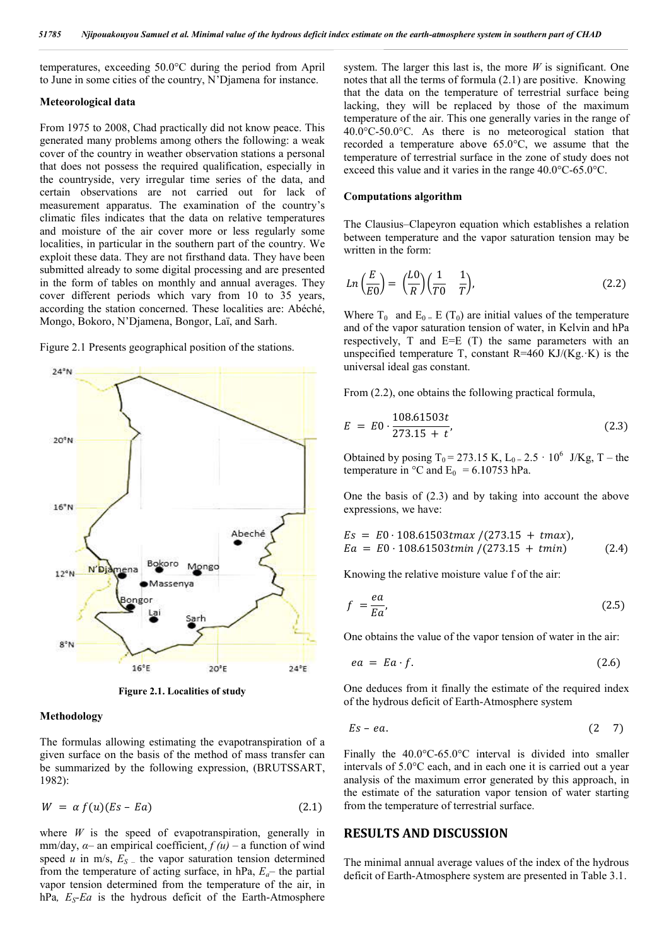temperatures, exceeding 50.0°C during the period from April to June in some cities of the country, N'Djamena for instance.

#### **Meteorological data**

From 1975 to 2008, Chad practically did not know peace. This generated many problems among others the following: a weak cover of the country in weather observation stations a personal that does not possess the required qualification, especially in the countryside, very irregular time series of the data, and certain observations are not carried out for lack of measurement apparatus. The examination of the country's that does not possess the required qualification, especially in the countryside, very irregular time series of the data, and certain observations are not carried out for lack of measurement apparatus. The examination of th and moisture of the air cover more or less regularly some localities, in particular in the southern part of the country. We exploit these data. They are not firsthand data. They have been submitted already to some digital processing and are presented in the form of tables on monthly and annual averages. They cover different periods which vary from 10 to 35 years, according the station concerned. These localities are: Abéché, Mongo, Bokoro, N'Djamena, Bongor, Laï, and Sarh.

Figure 2.1 Presents geographical position of the stations.



**Figure 2.1. Localities of study**

### **Methodology**

The formulas allowing estimating the evapotranspiration of a given surface on the basis of the method of mass transfer can be summarized by the following expression, (BRUTSSART, 1982):

$$
W = \alpha f(u)(Es - Ea) \tag{2.1}
$$

where  $W$  is the speed of evapotranspiration, generally in mm/day,  $\alpha$ – an empirical coefficient,  $f(u)$  – a function of wind speed  $u$  in m/s,  $E_S$  – the vapor saturation tension determined from the temperature of acting surface, in  $hPa$ ,  $E_a$ — the partial vapor tension determined from the temperature of the air, in hPa*, ES-Ea* is the hydrous deficit of the Earth Earth-Atmosphere

system. The larger this last is, the more  $W$  is significant. One notes that all the terms of formula  $(2.1)$  are positive. Knowing that the data on the temperature of terrestrial surface being lacking, they will be replaced by those of the maximum temperature of the air. This one generally varies in the range of 40.0°C-50.0°C. As there is no meteorogical station that recorded a temperature above 65.0°C, we assume that the temperature of terrestrial surface in the zone of study does not exceed this value and it varies in the range  $40.0^{\circ}$ C-65.0°C. cking, they will be replaced by those of the maximu mperature of the air. This one generally varies in the range  $0.0^{\circ}$ C-50.0°C. As there is no meteorogical station the corded a temperature above 65.0°C, we assume that on the earth-atmosphere system in southern part of CHAB<br>The larger this last is, the more *W* is significan<br>all the terms of formula (2.1) are positive. Kn dall<br>the of the outperfact of the mass of the mass of the of<br>the

#### **Computations algorithm**

The Clausius–Clapeyron equation which establishes a relation between temperature and the vapor saturation tension may be written in the form:

$$
Ln\left(\frac{E}{E0}\right) = \left(\frac{LO}{R}\right)\left(\frac{1}{T0} - \frac{1}{T}\right),\tag{2.2}
$$

Where  $T_0$  and  $E_0 = E(T_0)$  are initial values of the temperature and of the vapor saturation tension of water, in Kelvin and hPa respectively, T and E=E (T) the same parameters with an unspecified temperature T, constant  $R=460 \text{ KJ/(Kg. K)}$  is the universal ideal gas constant. Where  $T_0$  and  $E_0 = E(T_0)$  are initial values of the temperature and of the vapor saturation tension of water, in Kelvin and hPa respectively, T and E=E (T) the same parameters with an unspecified temperature T, constant

From  $(2.2)$ , one obtains the following practical formula,

$$
E = E0 \cdot \frac{108.61503t}{273.15 + t},
$$
\n(2.3)

Obtained by posing  $T_0 = 273.15$  K,  $L_0 = 2.5 \cdot 10^6$  J/Kg, T – the temperature in  $^{\circ}$ C and E<sub>0</sub> = 6.10753 hPa.

One the basis of  $(2.3)$  and by taking into account the above expressions, we have:

$$
Es = E0 \cdot 108.61503t \max / (273.15 + t \max),
$$
  
\n
$$
Ea = E0 \cdot 108.61503t \min / (273.15 + t \min) \tag{2.4}
$$

Knowing the relative moisture value f of the air:

$$
f = \frac{ea}{Ea},\tag{2.5}
$$

One obtains the value of the vapor tension of water in the air:

$$
ea = Ea \cdot f. \tag{2.6}
$$

One deduces from it finally the estimate of the required index of the hydrous deficit of Earth-Atmosphere system Atmosphere system

$$
Es - ea. \tag{2.7}
$$

Finally the  $40.0^{\circ}$ C-65.0°C interval is divided into smaller intervals of 5.0°C each, and in each one it is carried out a year analysis of the maximum error generated by this approach, in the estimate of the saturation vapor tension of water starting from the temperature of terrestrial surface.

### **RESULTS AND DISCUSSION**

The minimal annual average values of the index of the hydrous deficit of Earth-Atmosphere system are presented in Table 3.1.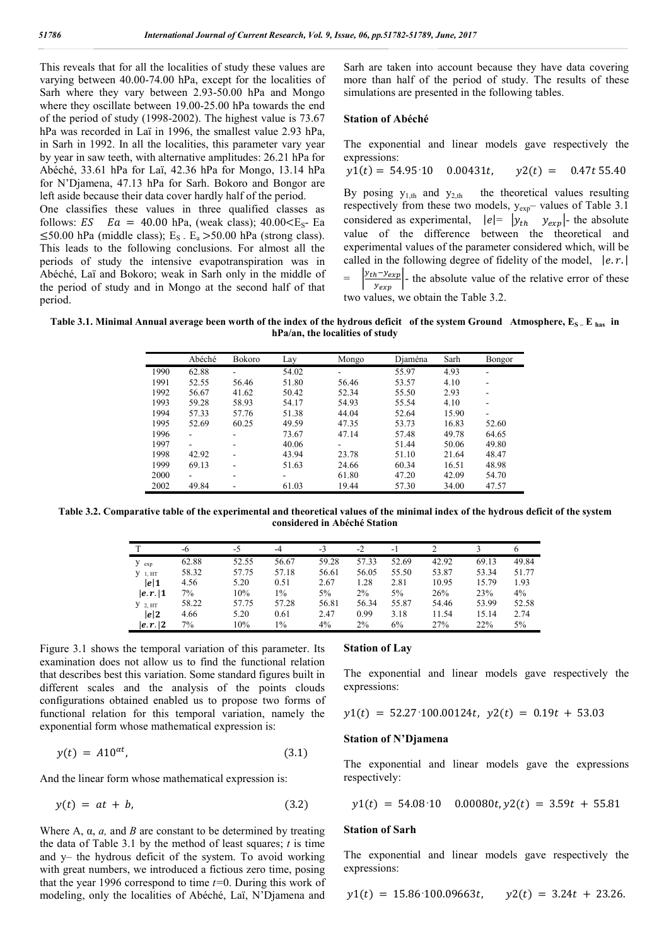This reveals that for all the localities of study these values are varying between 40.00-74.00 hPa, except for the localities of Sarh where they vary between 2.93-50.00 hPa and Mongo where they oscillate between 19.00-25.00 hPa towards the end of the period of study (1998-2002). The highest value is 73.67 hPa was recorded in Laï in 1996, the smallest value 2.93 hPa, in Sarh in 1992. In all the localities, this parameter vary year by year in saw teeth, with alternative amplitudes: 26.21 hPa for Abéché, 33.61 hPa for Laï, 42.36 hPa for Mongo, 13.14 hPa for N'Djamena, 47.13 hPa for Sarh. Bokoro and Bongor are left aside because their data cover hardly half of the period.

One classifies these values in three qualified classes as follows:  $ES$   $Ea = 40.00$  hPa, (weak class);  $40.00 \leq E_s - Ea$  $\leq$ 50.00 hPa (middle class); E<sub>S</sub>  $E_a$  >50.00 hPa (strong class). This leads to the following conclusions. For almost all the periods of study the intensive evapotranspiration was in Abéché, Laï and Bokoro; weak in Sarh only in the middle of the period of study and in Mongo at the second half of that period.

Sarh are taken into account because they have data covering more than half of the period of study. The results of these simulations are presented in the following tables.

#### **Station of Abéché**

The exponential and linear models gave respectively the expressions:

$$
y1(t) = 54.95 \cdot 10 \quad 0.00431t, \quad y2(t) = 0.47t \, 55.40
$$

By posing  $y_{1,th}$  and  $y_{2,th}$  the theoretical values resulting respectively from these two models, yexp– values of Table 3.1 considered as experimental,  $|e| = |y_{th} y_{exp}|$ - the absolute value of the difference between the theoretical and experimental values of the parameter considered which, will be called in the following degree of fidelity of the model,  $|e.r.|$ 

 $=$   $\left| \frac{y_{th} - y_{exp}}{y_{exp}} \right|$  the absolute value of the relative error of these two values, we obtain the Table 3.2.

Table 3.1. Minimal Annual average been worth of the index of the hydrous deficit of the system Ground Atmosphere,  $E_{S-}E_{has}$  in **hPa/an, the localities of study**

|      | Abéché | Bokoro                   | Lay   | Mongo | Djaména | Sarh  | Bongor |
|------|--------|--------------------------|-------|-------|---------|-------|--------|
| 1990 | 62.88  | ۰                        | 54.02 |       | 55.97   | 4.93  | ۰      |
| 1991 | 52.55  | 56.46                    | 51.80 | 56.46 | 53.57   | 4.10  |        |
| 1992 | 56.67  | 41.62                    | 50.42 | 52.34 | 55.50   | 2.93  | -      |
| 1993 | 59.28  | 58.93                    | 54.17 | 54.93 | 55.54   | 4.10  |        |
| 1994 | 57.33  | 57.76                    | 51.38 | 44.04 | 52.64   | 15.90 |        |
| 1995 | 52.69  | 60.25                    | 49.59 | 47.35 | 53.73   | 16.83 | 52.60  |
| 1996 | ٠      | $\blacksquare$           | 73.67 | 47.14 | 57.48   | 49.78 | 64.65  |
| 1997 |        | ۰                        | 40.06 |       | 51.44   | 50.06 | 49.80  |
| 1998 | 42.92  | ۰                        | 43.94 | 23.78 | 51.10   | 21.64 | 48.47  |
| 1999 | 69.13  | ۰                        | 51.63 | 24.66 | 60.34   | 16.51 | 48.98  |
| 2000 | ۰.     | $\overline{\phantom{a}}$ | ۰     | 61.80 | 47.20   | 42.09 | 54.70  |
| 2002 | 49.84  |                          | 61.03 | 19.44 | 57.30   | 34.00 | 47.57  |

**Table 3.2. Comparative table of the experimental and theoretical values of the minimal index of the hydrous deficit of the system considered in Abéché Station**

|             | -6    | $-5$  | -4    | $-3$  | $-2$  | $-1$  |       |       | o     |
|-------------|-------|-------|-------|-------|-------|-------|-------|-------|-------|
| $y_{exp}$   | 62.88 | 52.55 | 56.67 | 59.28 | 57.33 | 52.69 | 42.92 | 69.13 | 49.84 |
| $V_1$ , HT  | 58.32 | 57.75 | 57.18 | 56.61 | 56.05 | 55.50 | 53.87 | 53.34 | 51.77 |
| e 1         | 4.56  | 5.20  | 0.51  | 2.67  | 1.28  | 2.81  | 10.95 | 15.79 | 1.93  |
| e,r 1       | 7%    | 10%   | 1%    | 5%    | 2%    | 5%    | 26%   | 23%   | 4%    |
| $Y_{2, HT}$ | 58.22 | 57.75 | 57.28 | 56.81 | 56.34 | 55.87 | 54.46 | 53.99 | 52.58 |
| e 2         | 4.66  | 5.20  | 0.61  | 2.47  | 0.99  | 3.18  | 11.54 | 15.14 | 2.74  |
| e,r         | 7%    | 10%   | 1%    | $4\%$ | 2%    | 6%    | 27%   | 22%   | 5%    |

Figure 3.1 shows the temporal variation of this parameter. Its examination does not allow us to find the functional relation that describes best this variation. Some standard figures built in different scales and the analysis of the points clouds configurations obtained enabled us to propose two forms of functional relation for this temporal variation, namely the exponential form whose mathematical expression is:

$$
y(t) = A10^{\alpha t}, \tag{3.1}
$$

And the linear form whose mathematical expression is:

$$
y(t) = at + b,\tag{3.2}
$$

Where A,  $\alpha$ ,  $\alpha$ , and *B* are constant to be determined by treating the data of Table 3.1 by the method of least squares; *t* is time and y– the hydrous deficit of the system. To avoid working with great numbers, we introduced a fictious zero time, posing that the year 1996 correspond to time *t=*0. During this work of modeling, only the localities of Abéché, Laï, N'Djamena and

#### **Station of Lay**

The exponential and linear models gave respectively the expressions:

$$
y1(t) = 52.27 \cdot 100.00124t, \ y2(t) = 0.19t + 53.03
$$

#### **Station of N'Djamena**

The exponential and linear models gave the expressions respectively:

$$
y1(t) = 54.08 \cdot 10
$$
 0.00080t,  $y2(t) = 3.59t + 55.81$ 

#### **Station of Sarh**

The exponential and linear models gave respectively the expressions:

$$
y1(t) = 15.86 \cdot 100.09663t
$$
,  $y2(t) = 3.24t + 23.26$ .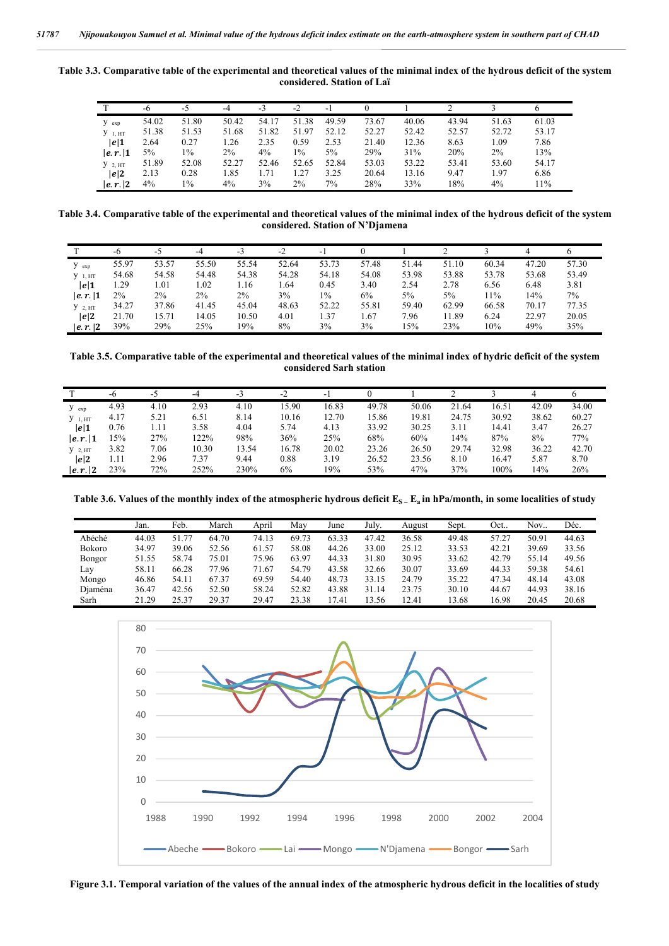**Table 3.3. Comparative table of the experimental and theoretical values of the minimal index of the hydrous deficit of the system considered. Station of Laï**

|             | -6    | -5    | -4    | $-3$  | -2             | - 1   |       |       |       |       |       |
|-------------|-------|-------|-------|-------|----------------|-------|-------|-------|-------|-------|-------|
| $y_{exp}$   | 54.02 | 51.80 | 50.42 | 54.17 | 51.38          | 49.59 | 73.67 | 40.06 | 43.94 | 51.63 | 61.03 |
| $V_1$ , HT  | 51.38 | 51.53 | 51.68 | 51.82 | 51.97          | 52.12 | 52.27 | 52.42 | 52.57 | 52.72 | 53.17 |
| e 1         | 2.64  | 0.27  | .26   | 2.35  | 0.59           | 2.53  | 21.40 | 12.36 | 8.63  | .09   | 7.86  |
| e,r 1       | 5%    | 1%    | 2%    | 4%    | 1%             | $5\%$ | 29%   | 31%   | 20%   | 2%    | 13%   |
| $Y_{2, HT}$ | 51.89 | 52.08 | 52.27 | 52.46 | 52.65          | 52.84 | 53.03 | 53.22 | 53.41 | 53.60 | 54.17 |
| e 2         | 2.13  | 0.28  | 1.85  | .71   | $\frac{1}{27}$ | 3.25  | 20.64 | 13.16 | 9.47  | .97   | 6.86  |
| e,r         | 4%    | 1%    | 4%    | 3%    | $2\%$          | 7%    | 28%   | 33%   | 18%   | 4%    | 11%   |

**Table 3.4. Comparative table of the experimental and theoretical values of the minimal index of the hydrous deficit of the system considered. Station of N'Djamena**

|            | -6    | -5    | -4    | -3    | $-2$  | ÷.    |       |       |       |       | 4     |       |
|------------|-------|-------|-------|-------|-------|-------|-------|-------|-------|-------|-------|-------|
| $y_{exp}$  | 55.97 | 53.57 | 55.50 | 55.54 | 52.64 | 53.73 | 57.48 | 51.44 | 51.10 | 60.34 | 47.20 | 57.30 |
| $Y_1, HT$  | 54.68 | 54.58 | 54.48 | 54.38 | 54.28 | 54.18 | 54.08 | 53.98 | 53.88 | 53.78 | 53.68 | 53.49 |
| e 1        | . 29  | 1.01  | 1.02  | 1.16  | 1.64  | 0.45  | 3.40  | 2.54  | 2.78  | 6.56  | 6.48  | 3.81  |
| e,r 1      | $2\%$ | 2%    | $2\%$ | $2\%$ | 3%    | $1\%$ | 6%    | 5%    | 5%    | 11%   | 14%   | 7%    |
| $Y_2$ , HT | 34.27 | 37.86 | 41.45 | 45.04 | 48.63 | 52.22 | 55.81 | 59.40 | 62.99 | 66.58 | 70.17 | 77.35 |
| e 2        | 21.70 | 5.71  | 14.05 | 10.50 | 4.01  | 1.37  | . 67  | 7.96  | 11.89 | 6.24  | 22.97 | 20.05 |
| e,r        | 39%   | 29%   | 25%   | 19%   | 8%    | 3%    | 3%    | 5%    | 23%   | 10%   | 49%   | 35%   |

**Table 3.5. Comparative table of the experimental and theoretical values of the minimal index of hydric deficit of the system considered Sarh station**

|             |      |      | -4    |       | $-2$  |       |       |       |       |       |       |       |
|-------------|------|------|-------|-------|-------|-------|-------|-------|-------|-------|-------|-------|
|             | -6   | -5   |       | -5    |       | - 1   |       |       |       |       |       |       |
| $y_{exp}$   | 4.93 | 4.10 | 2.93  | 4.10  | 15.90 | 16.83 | 49.78 | 50.06 | 21.64 | 16.51 | 42.09 | 34.00 |
| $V_1$ , HT  | 4.17 | 5.21 | 6.51  | 8.14  | 10.16 | 12.70 | 15.86 | 19.81 | 24.75 | 30.92 | 38.62 | 60.27 |
| e 1         | 0.76 | 1.11 | 3.58  | 4.04  | 5.74  | 4.13  | 33.92 | 30.25 | 3.11  | 14.41 | 3.47  | 26.27 |
| e,r 1       | 15%  | 27%  | 122%  | 98%   | 36%   | 25%   | 68%   | 60%   | 14%   | 87%   | 8%    | 77%   |
| $Y_{2, HT}$ | 3.82 | 7.06 | 10.30 | 13.54 | 16.78 | 20.02 | 23.26 | 26.50 | 29.74 | 32.98 | 36.22 | 42.70 |
| e 2         | 1.11 | 2.96 | 7.37  | 9.44  | 0.88  | 3.19  | 26.52 | 23.56 | 8.10  | 16.47 | 5.87  | 8.70  |
| e,r 2       | 23%  | 72%  | 252%  | 230%  | 6%    | 19%   | 53%   | 47%   | 37%   | 100%  | 14%   | 26%   |

Table 3.6. Values of the monthly index of the atmospheric hydrous deficit  $E_S$ <sub>-</sub>  $E_a$  in hPa/month, in some localities of study

|               | Jan.  | Feb.  | March | April | Mav   | June  | July. | August | Sept. | Oct   | Nov.  | Déc.  |
|---------------|-------|-------|-------|-------|-------|-------|-------|--------|-------|-------|-------|-------|
| Abéché        | 44.03 | 51.77 | 64.70 | 74.13 | 69.73 | 63.33 | 47.42 | 36.58  | 49.48 | 57.27 | 50.91 | 44.63 |
| Bokoro        | 34.97 | 39.06 | 52.56 | 61.57 | 58.08 | 44.26 | 33.00 | 25.12  | 33.53 | 42.21 | 39.69 | 33.56 |
| <b>Bongor</b> | 51.55 | 58.74 | 75.01 | 75.96 | 63.97 | 44.33 | 31.80 | 30.95  | 33.62 | 42.79 | 55.14 | 49.56 |
| Lav           | 58.11 | 66.28 | 77.96 | 71.67 | 54.79 | 43.58 | 32.66 | 30.07  | 33.69 | 44.33 | 59.38 | 54.61 |
| Mongo         | 46.86 | 54.11 | 67.37 | 69.59 | 54.40 | 48.73 | 33.15 | 24.79  | 35.22 | 47.34 | 48.14 | 43.08 |
| Diaména       | 36.47 | 42.56 | 52.50 | 58.24 | 52.82 | 43.88 | 31.14 | 23.75  | 30.10 | 44.67 | 44.93 | 38.16 |
| Sarh          | 21.29 | 25.37 | 29.37 | 29.47 | 23.38 | 7.41  | 13.56 | 12.41  | 13.68 | 16.98 | 20.45 | 20.68 |



**Figure 3.1. Temporal variation of the values of the annual index of the atmospheric hydrous deficit in the localities of study**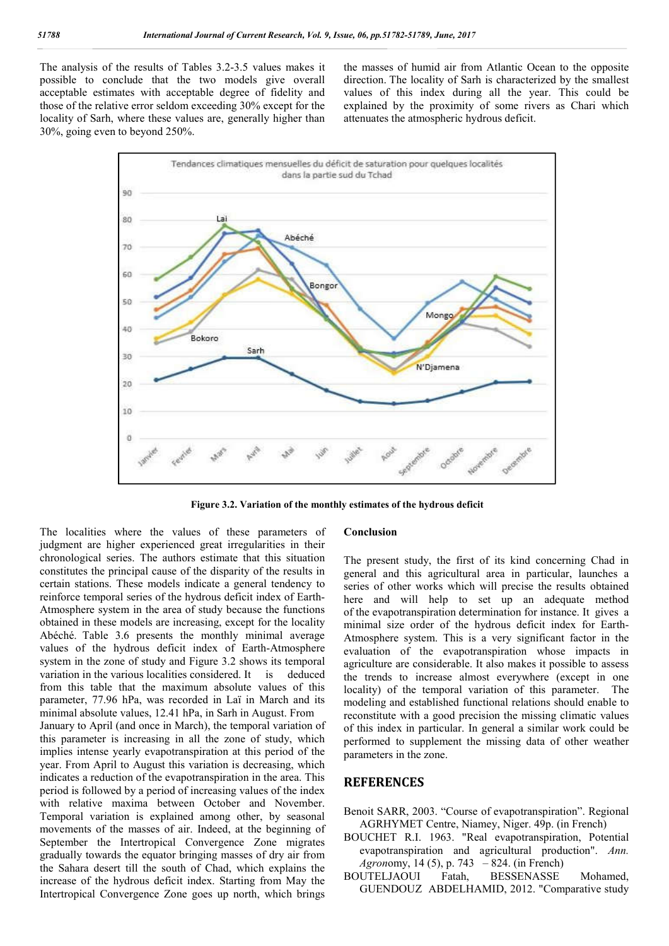The analysis of the results of Tables 3.2-3.5 values makes it possible to conclude that the two models give overall acceptable estimates with acceptable degree of fidelity and those of the relative error seldom exceeding 30% except for the locality of Sarh, where these values are, generally higher than 30%, going even to beyond 250%.

the masses of humid air from Atlantic Ocean to the opposite direction. The locality of Sarh is characterized by the smallest values of this index during all the year. This could be explained by the proximity of some rivers as Chari which attenuates the atmospheric hydrous deficit.



**Figure 3.2. Variation of the monthly estimates of the hydrous deficit**

The localities where the values of these parameters of judgment are higher experienced great irregularities in their chronological series. The authors estimate that this situation constitutes the principal cause of the disparity of the results in certain stations. These models indicate a general tendency to reinforce temporal series of the hydrous deficit index of Earth-Atmosphere system in the area of study because the functions obtained in these models are increasing, except for the locality Abéché. Table 3.6 presents the monthly minimal average values of the hydrous deficit index of Earth-Atmosphere system in the zone of study and Figure 3.2 shows its temporal variation in the various localities considered. It is deduced from this table that the maximum absolute values of this parameter, 77.96 hPa, was recorded in Laï in March and its minimal absolute values, 12.41 hPa, in Sarh in August. From January to April (and once in March), the temporal variation of this parameter is increasing in all the zone of study, which implies intense yearly evapotranspiration at this period of the year. From April to August this variation is decreasing, which indicates a reduction of the evapotranspiration in the area. This period is followed by a period of increasing values of the index with relative maxima between October and November. Temporal variation is explained among other, by seasonal movements of the masses of air. Indeed, at the beginning of September the Intertropical Convergence Zone migrates gradually towards the equator bringing masses of dry air from the Sahara desert till the south of Chad, which explains the increase of the hydrous deficit index. Starting from May the Intertropical Convergence Zone goes up north, which brings

#### **Conclusion**

The present study, the first of its kind concerning Chad in general and this agricultural area in particular, launches a series of other works which will precise the results obtained here and will help to set up an adequate method of the evapotranspiration determination for instance. It gives a minimal size order of the hydrous deficit index for Earth-Atmosphere system. This is a very significant factor in the evaluation of the evapotranspiration whose impacts in agriculture are considerable. It also makes it possible to assess the trends to increase almost everywhere (except in one locality) of the temporal variation of this parameter. The modeling and established functional relations should enable to reconstitute with a good precision the missing climatic values of this index in particular. In general a similar work could be performed to supplement the missing data of other weather parameters in the zone.

### **REFERENCES**

- Benoit SARR, 2003. "Course of evapotranspiration". Regional AGRHYMET Centre, Niamey, Niger. 49p. (in French)
- BOUCHET R.I. 1963. "Real evapotranspiration, Potential evapotranspiration and agricultural production". *Ann. Agron*omy, 14 (5), p. 743 – 824. (in French)
- BOUTELJAOUI Fatah, BESSENASSE Mohamed, GUENDOUZ ABDELHAMID, 2012. "Comparative study